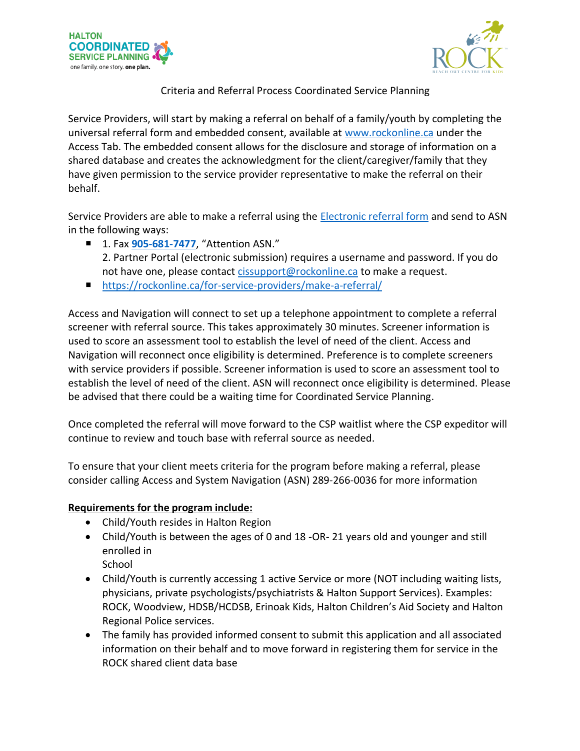



Criteria and Referral Process Coordinated Service Planning

Service Providers, will start by making a referral on behalf of a family/youth by completing the universal referral form and embedded consent, available at [www.rockonline.ca](http://www.rockonline.ca/) under the Access Tab. The embedded consent allows for the disclosure and storage of information on a shared database and creates the acknowledgment for the client/caregiver/family that they have given permission to the service provider representative to make the referral on their behalf.

Service Providers are able to make a referral using the [Electronic referral form](https://rockonline.ca/wp-content/uploads/2021/12/Halton-Access-and-System-Navigation-Form-Nov-2020v2.pdf) and send to ASN in the following ways:

- 1. Fax [905-681-7477](fax:905-681-7477), "Attention ASN."
	- 2. Partner Portal (electronic submission) requires a username and password. If you do not have one, please contact [cissupport@rockonline.ca](mailto:cissupport@rockonline.ca) to make a request.
- <https://rockonline.ca/for-service-providers/make-a-referral/>

Access and Navigation will connect to set up a telephone appointment to complete a referral screener with referral source. This takes approximately 30 minutes. Screener information is used to score an assessment tool to establish the level of need of the client. Access and Navigation will reconnect once eligibility is determined. Preference is to complete screeners with service providers if possible. Screener information is used to score an assessment tool to establish the level of need of the client. ASN will reconnect once eligibility is determined. Please be advised that there could be a waiting time for Coordinated Service Planning.

Once completed the referral will move forward to the CSP waitlist where the CSP expeditor will continue to review and touch base with referral source as needed.

To ensure that your client meets criteria for the program before making a referral, please consider calling Access and System Navigation (ASN) 289-266-0036 for more information

## **Requirements for the program include:**

- Child/Youth resides in Halton Region
- Child/Youth is between the ages of 0 and 18 -OR- 21 years old and younger and still enrolled in School
- Child/Youth is currently accessing 1 active Service or more (NOT including waiting lists, physicians, private psychologists/psychiatrists & Halton Support Services). Examples: ROCK, Woodview, HDSB/HCDSB, Erinoak Kids, Halton Children's Aid Society and Halton Regional Police services.
- The family has provided informed consent to submit this application and all associated information on their behalf and to move forward in registering them for service in the ROCK shared client data base